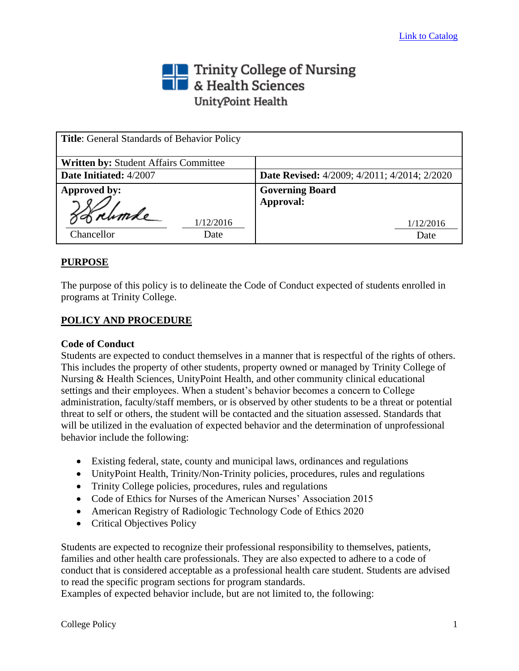## Trinity College of Nursing<br> **The State Sciences** UnityPoint Health

| <b>Title:</b> General Standards of Behavior Policy |                                                     |
|----------------------------------------------------|-----------------------------------------------------|
| <b>Written by: Student Affairs Committee</b>       |                                                     |
| Date Initiated: 4/2007                             | <b>Date Revised:</b> 4/2009; 4/2011; 4/2014; 2/2020 |
| Approved by:                                       | <b>Governing Board</b>                              |
| Strumle<br>1/12/2016<br>Chancellor<br>Date         | Approval:<br>1/12/2016<br>Date                      |

## **PURPOSE**

The purpose of this policy is to delineate the Code of Conduct expected of students enrolled in programs at Trinity College.

## **POLICY AND PROCEDURE**

## **Code of Conduct**

Students are expected to conduct themselves in a manner that is respectful of the rights of others. This includes the property of other students, property owned or managed by Trinity College of Nursing & Health Sciences, UnityPoint Health, and other community clinical educational settings and their employees. When a student's behavior becomes a concern to College administration, faculty/staff members, or is observed by other students to be a threat or potential threat to self or others, the student will be contacted and the situation assessed. Standards that will be utilized in the evaluation of expected behavior and the determination of unprofessional behavior include the following:

- Existing federal, state, county and municipal laws, ordinances and regulations
- UnityPoint Health, Trinity/Non-Trinity policies, procedures, rules and regulations
- Trinity College policies, procedures, rules and regulations
- Code of Ethics for Nurses of the American Nurses' Association 2015
- American Registry of Radiologic Technology Code of Ethics 2020
- Critical Objectives Policy

Students are expected to recognize their professional responsibility to themselves, patients, families and other health care professionals. They are also expected to adhere to a code of conduct that is considered acceptable as a professional health care student. Students are advised to read the specific program sections for program standards.

Examples of expected behavior include, but are not limited to, the following: